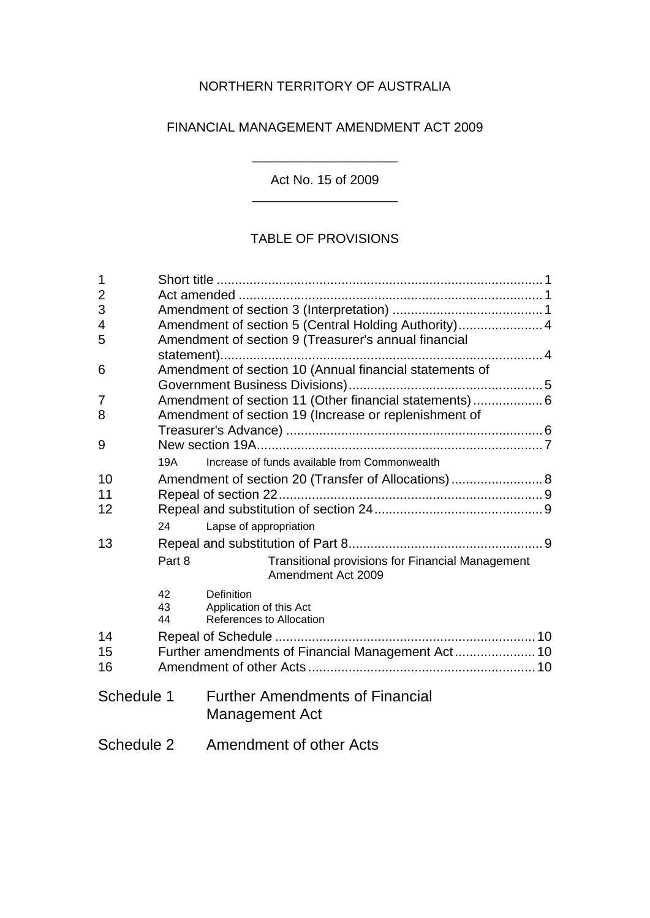# NORTHERN TERRITORY OF AUSTRALIA

# FINANCIAL MANAGEMENT AMENDMENT ACT 2009

\_\_\_\_\_\_\_\_\_\_\_\_\_\_\_\_\_\_\_\_ Act No. 15 of 2009 \_\_\_\_\_\_\_\_\_\_\_\_\_\_\_\_\_\_\_\_

# TABLE OF PROVISIONS

| 1              |                |                                                                          |  |
|----------------|----------------|--------------------------------------------------------------------------|--|
| $\overline{2}$ |                |                                                                          |  |
| 3              |                |                                                                          |  |
| 4              |                | Amendment of section 5 (Central Holding Authority) 4                     |  |
| 5              |                | Amendment of section 9 (Treasurer's annual financial                     |  |
|                |                |                                                                          |  |
| 6              |                | Amendment of section 10 (Annual financial statements of                  |  |
|                |                |                                                                          |  |
| 7              |                | Amendment of section 11 (Other financial statements)  6                  |  |
| 8              |                | Amendment of section 19 (Increase or replenishment of                    |  |
|                |                |                                                                          |  |
| 9              |                |                                                                          |  |
|                | 19A            | Increase of funds available from Commonwealth                            |  |
| 10             |                | Amendment of section 20 (Transfer of Allocations)  8                     |  |
| 11             |                |                                                                          |  |
| 12             |                |                                                                          |  |
|                | 24             | Lapse of appropriation                                                   |  |
| 13             |                |                                                                          |  |
|                | Part 8         | Transitional provisions for Financial Management<br>Amendment Act 2009   |  |
|                | 42<br>43<br>44 | <b>Definition</b><br>Application of this Act<br>References to Allocation |  |
| 14             |                |                                                                          |  |
| 15             |                | Further amendments of Financial Management Act 10                        |  |
| 16             |                |                                                                          |  |
|                |                |                                                                          |  |
| Schedule 1     |                | <b>Further Amendments of Financial</b><br>Management Act                 |  |
| Schedule 2     |                | Amendment of other Acts                                                  |  |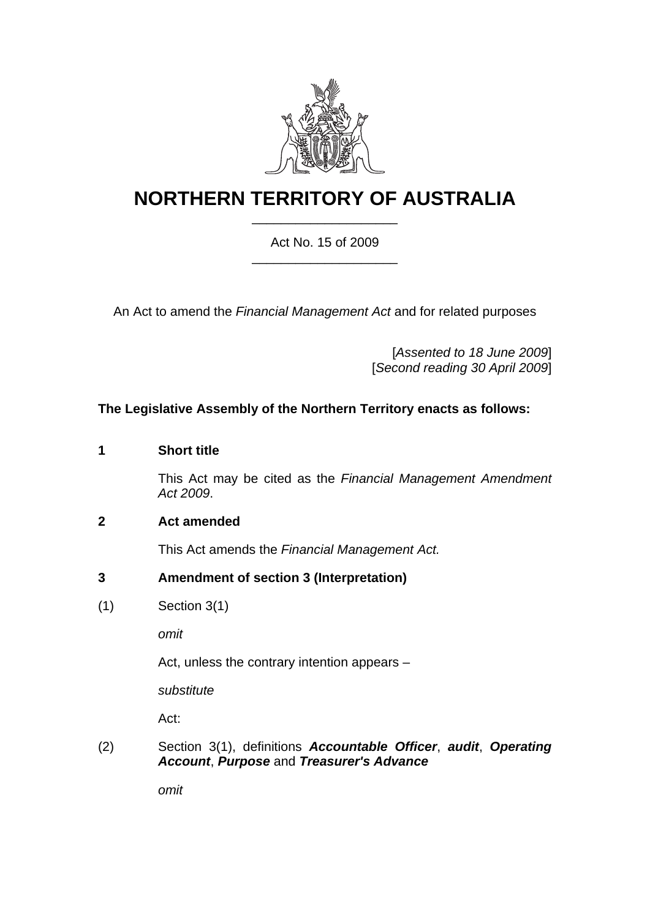

# **NORTHERN TERRITORY OF AUSTRALIA** \_\_\_\_\_\_\_\_\_\_\_\_\_\_\_\_\_\_\_\_

#### Act No. 15 of 2009 \_\_\_\_\_\_\_\_\_\_\_\_\_\_\_\_\_\_\_\_

An Act to amend the *Financial Management Act* and for related purposes

[*Assented to 18 June 2009*] [*Second reading 30 April 2009*]

#### **The Legislative Assembly of the Northern Territory enacts as follows:**

#### <span id="page-1-0"></span>**1 Short title**

This Act may be cited as the *Financial Management Amendment Act 2009*.

#### <span id="page-1-1"></span>**2 Act amended**

This Act amends the *Financial Management Act.* 

#### <span id="page-1-2"></span>**3 Amendment of section 3 (Interpretation)**

(1) Section 3(1)

*omit* 

Act, unless the contrary intention appears –

*substitute* 

Act:

(2) Section 3(1), definitions *Accountable Officer*, *audit*, *Operating Account*, *Purpose* and *Treasurer's Advance*

*omit*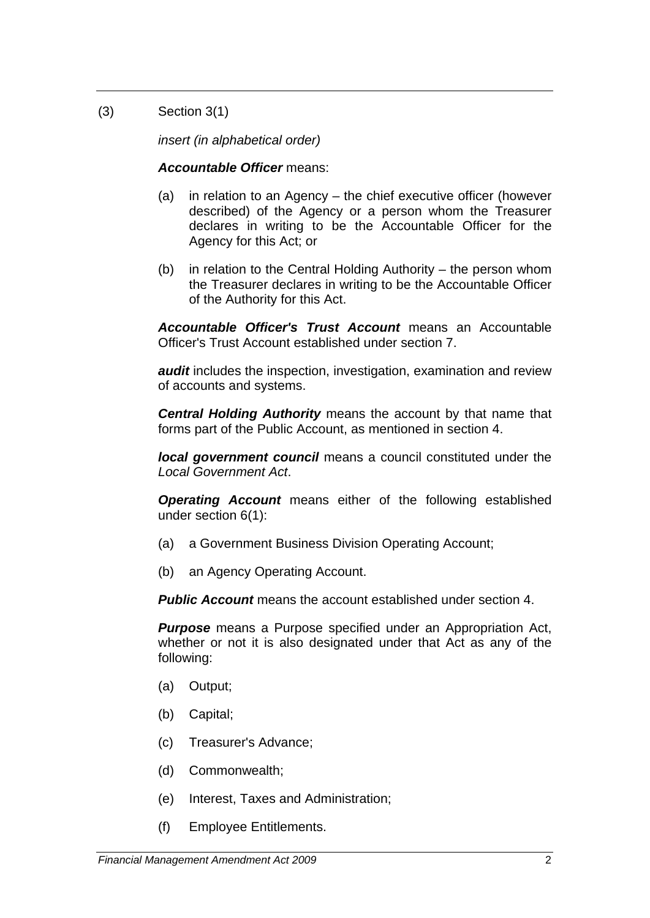(3) Section 3(1)

*insert (in alphabetical order)* 

# *Accountable Officer* means:

- (a) in relation to an Agency the chief executive officer (however described) of the Agency or a person whom the Treasurer declares in writing to be the Accountable Officer for the Agency for this Act; or
- (b) in relation to the Central Holding Authority the person whom the Treasurer declares in writing to be the Accountable Officer of the Authority for this Act.

*Accountable Officer's Trust Account* means an Accountable Officer's Trust Account established under section 7.

*audit* includes the inspection, investigation, examination and review of accounts and systems.

*Central Holding Authority* means the account by that name that forms part of the Public Account, as mentioned in section 4.

*local government council* means a council constituted under the *Local Government Act*.

*Operating Account* means either of the following established under section 6(1):

- (a) a Government Business Division Operating Account;
- (b) an Agency Operating Account.

*Public Account* means the account established under section 4.

*Purpose* means a Purpose specified under an Appropriation Act, whether or not it is also designated under that Act as any of the following:

- (a) Output;
- (b) Capital;
- (c) Treasurer's Advance;
- (d) Commonwealth;
- (e) Interest, Taxes and Administration;
- (f) Employee Entitlements.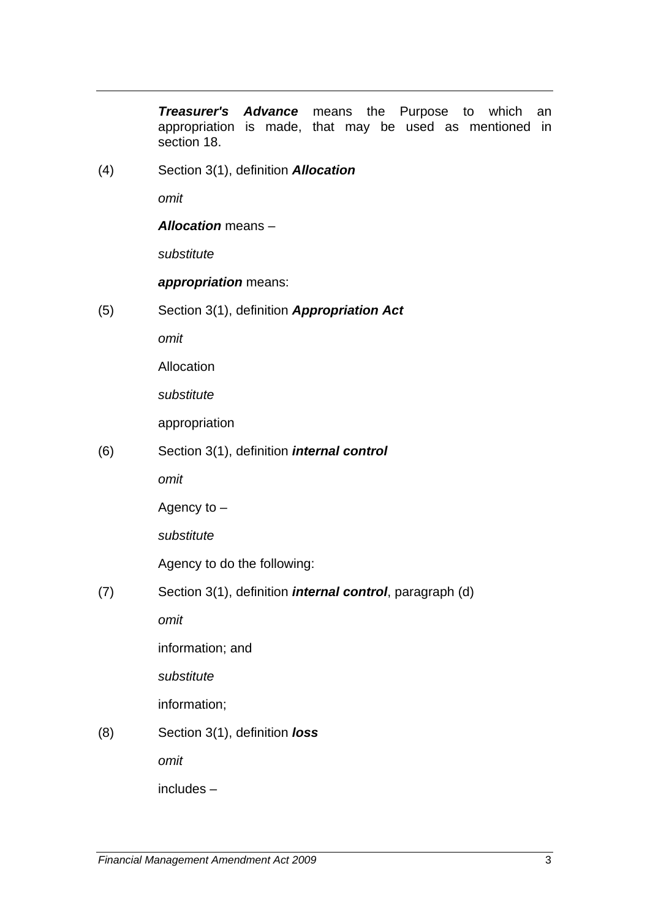*Treasurer's Advance* means the Purpose to which an appropriation is made, that may be used as mentioned in section 18.

(4) Section 3(1), definition *Allocation*

*omit* 

*Allocation* means –

*substitute* 

*appropriation* means:

(5) Section 3(1), definition *Appropriation Act*

*omit* 

Allocation

*substitute* 

appropriation

(6) Section 3(1), definition *internal control*

*omit* 

Agency to –

*substitute* 

Agency to do the following:

(7) Section 3(1), definition *internal control*, paragraph (d)

*omit* 

information; and

*substitute* 

information;

# (8) Section 3(1), definition *loss*

*omit* 

includes –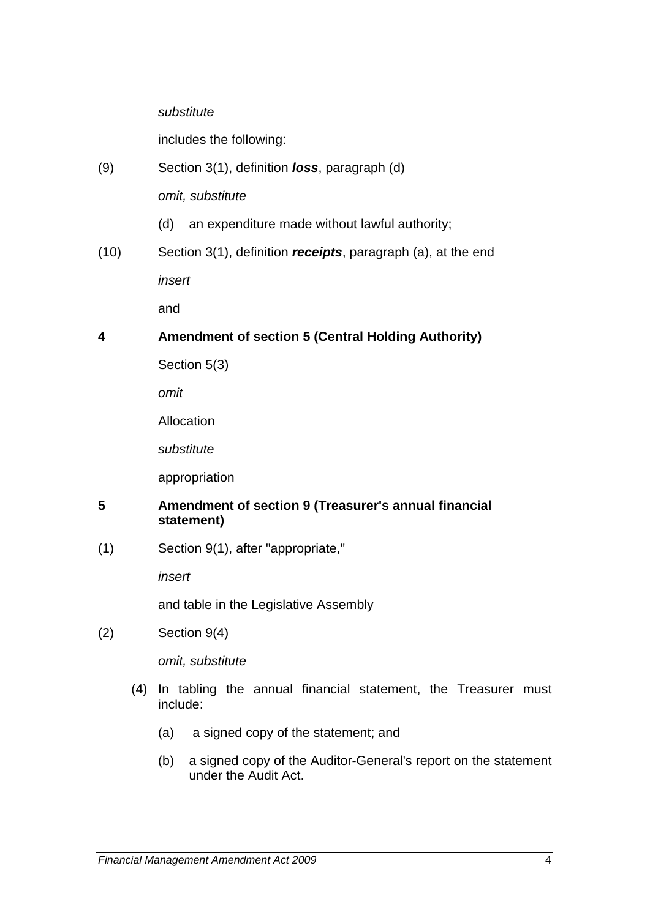#### *substitute*

includes the following:

(9) Section 3(1), definition *loss*, paragraph (d)

*omit, substitute* 

- (d) an expenditure made without lawful authority;
- (10) Section 3(1), definition *receipts*, paragraph (a), at the end

*insert* 

and

## <span id="page-4-0"></span>**4 Amendment of section 5 (Central Holding Authority)**

Section 5(3)

*omit* 

Allocation

*substitute* 

appropriation

#### <span id="page-4-1"></span>**5 Amendment of section 9 (Treasurer's annual financial statement)**

(1) Section 9(1), after "appropriate,"

*insert* 

and table in the Legislative Assembly

(2) Section 9(4)

*omit, substitute* 

- (4) In tabling the annual financial statement, the Treasurer must include:
	- (a) a signed copy of the statement; and
	- (b) a signed copy of the Auditor-General's report on the statement under the Audit Act.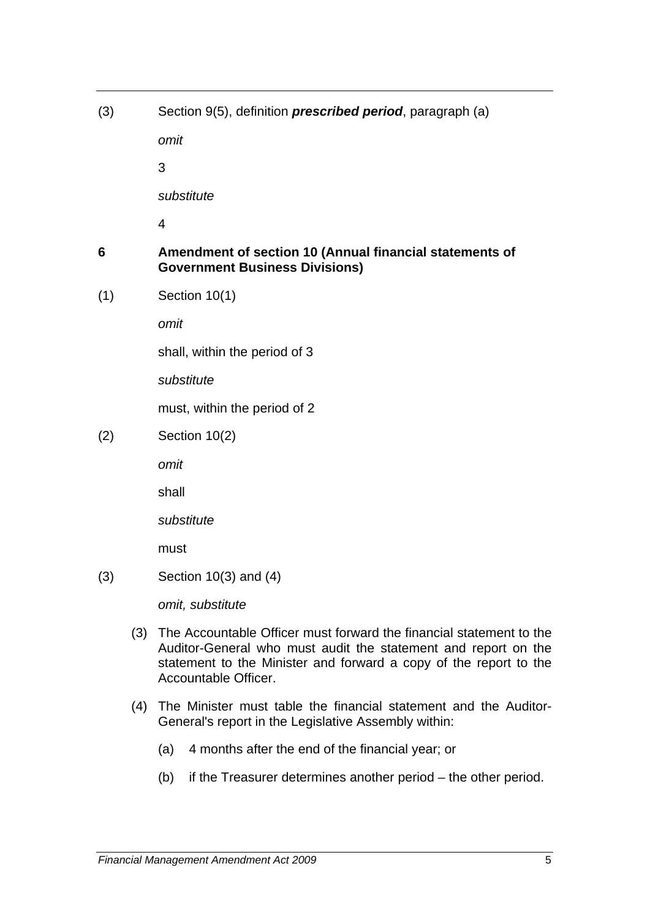(3) Section 9(5), definition *prescribed period*, paragraph (a)

*omit* 

3

*substitute* 

4

## <span id="page-5-0"></span>**6 Amendment of section 10 (Annual financial statements of Government Business Divisions)**

(1) Section 10(1)

*omit* 

shall, within the period of 3

*substitute* 

must, within the period of 2

(2) Section 10(2)

*omit* 

shall

*substitute* 

must

(3) Section 10(3) and (4)

*omit, substitute* 

- (3) The Accountable Officer must forward the financial statement to the Auditor-General who must audit the statement and report on the statement to the Minister and forward a copy of the report to the Accountable Officer.
- (4) The Minister must table the financial statement and the Auditor-General's report in the Legislative Assembly within:
	- (a) 4 months after the end of the financial year; or
	- (b) if the Treasurer determines another period the other period.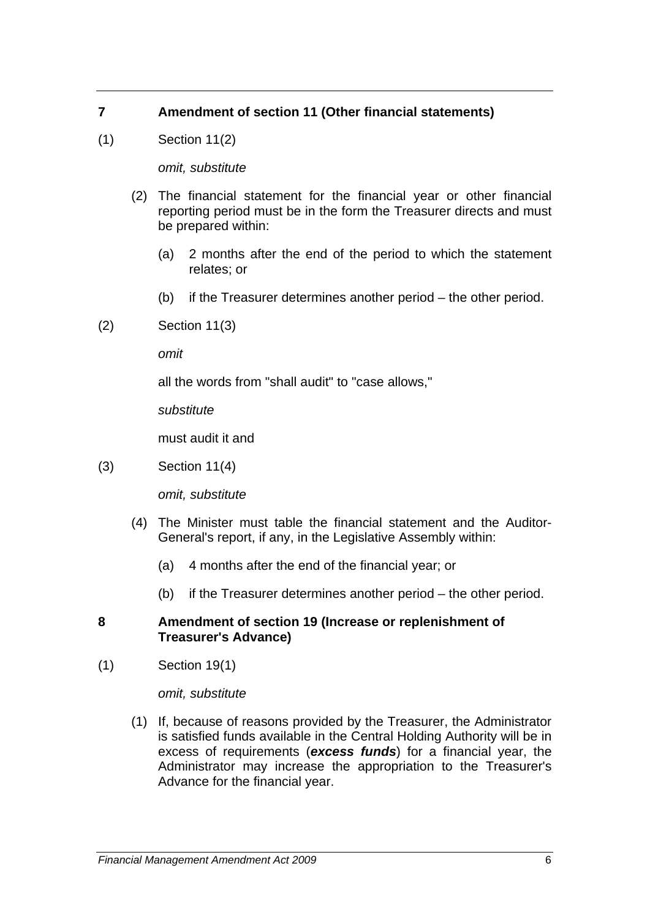# <span id="page-6-0"></span>**7 Amendment of section 11 (Other financial statements)**

(1) Section 11(2)

*omit, substitute* 

- (2) The financial statement for the financial year or other financial reporting period must be in the form the Treasurer directs and must be prepared within:
	- (a) 2 months after the end of the period to which the statement relates; or
	- (b) if the Treasurer determines another period the other period.
- (2) Section 11(3)

*omit* 

all the words from "shall audit" to "case allows,"

*substitute* 

must audit it and

(3) Section 11(4)

*omit, substitute* 

- (4) The Minister must table the financial statement and the Auditor-General's report, if any, in the Legislative Assembly within:
	- (a) 4 months after the end of the financial year; or
	- (b) if the Treasurer determines another period the other period.

#### <span id="page-6-1"></span>**8 Amendment of section 19 (Increase or replenishment of Treasurer's Advance)**

(1) Section 19(1)

*omit, substitute* 

 (1) If, because of reasons provided by the Treasurer, the Administrator is satisfied funds available in the Central Holding Authority will be in excess of requirements (*excess funds*) for a financial year, the Administrator may increase the appropriation to the Treasurer's Advance for the financial year.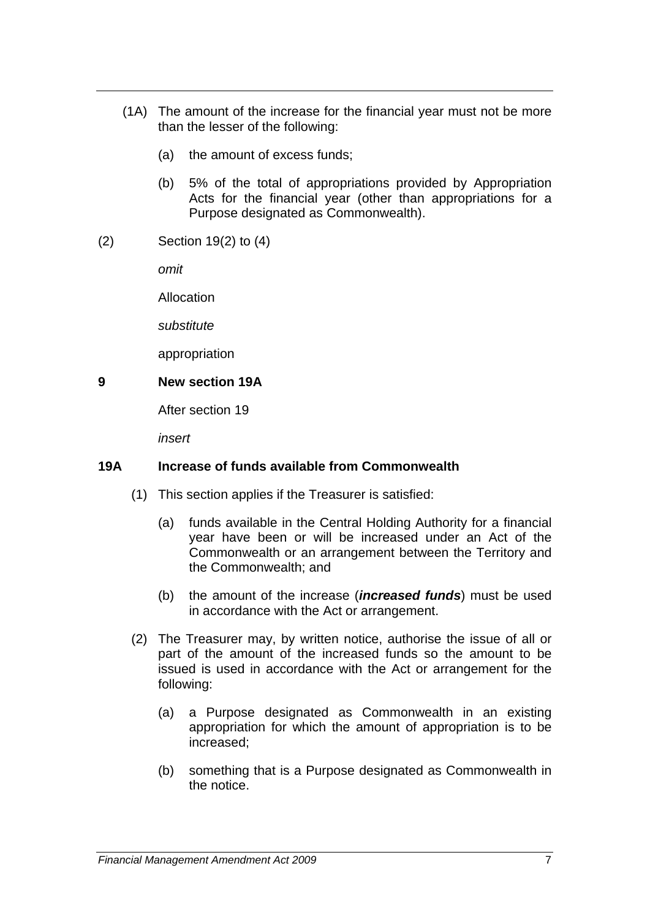- (1A) The amount of the increase for the financial year must not be more than the lesser of the following:
	- (a) the amount of excess funds;
	- (b) 5% of the total of appropriations provided by Appropriation Acts for the financial year (other than appropriations for a Purpose designated as Commonwealth).
- (2) Section 19(2) to (4)

*omit* 

Allocation

*substitute* 

appropriation

#### <span id="page-7-0"></span>**9 New section 19A**

After section 19

*insert* 

#### **19A Increase of funds available from Commonwealth**

- (1) This section applies if the Treasurer is satisfied:
	- (a) funds available in the Central Holding Authority for a financial year have been or will be increased under an Act of the Commonwealth or an arrangement between the Territory and the Commonwealth; and
	- (b) the amount of the increase (*increased funds*) must be used in accordance with the Act or arrangement.
- (2) The Treasurer may, by written notice, authorise the issue of all or part of the amount of the increased funds so the amount to be issued is used in accordance with the Act or arrangement for the following:
	- (a) a Purpose designated as Commonwealth in an existing appropriation for which the amount of appropriation is to be increased;
	- (b) something that is a Purpose designated as Commonwealth in the notice.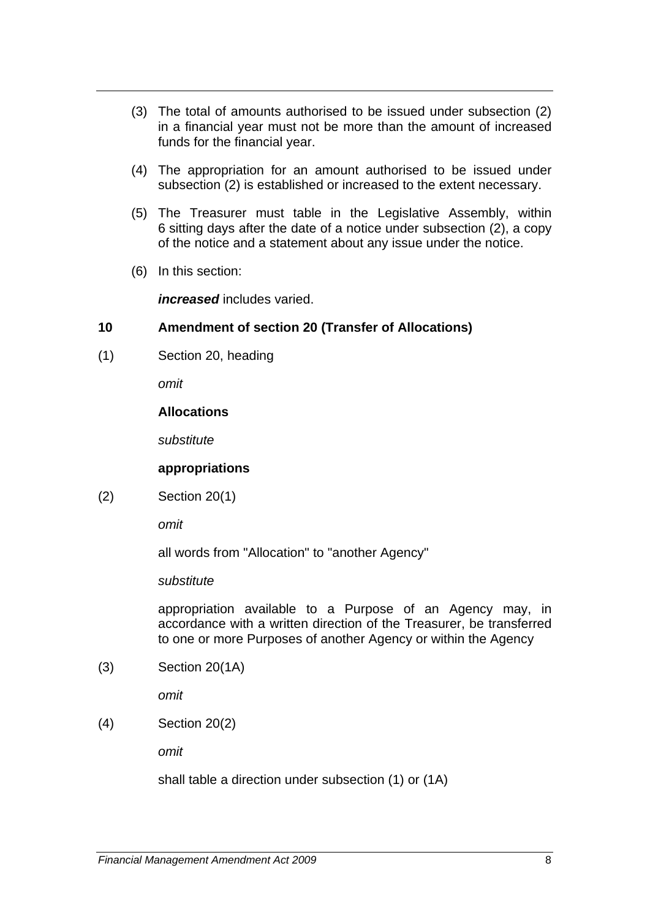- (3) The total of amounts authorised to be issued under subsection (2) in a financial year must not be more than the amount of increased funds for the financial year.
- (4) The appropriation for an amount authorised to be issued under subsection (2) is established or increased to the extent necessary.
- (5) The Treasurer must table in the Legislative Assembly, within 6 sitting days after the date of a notice under subsection (2), a copy of the notice and a statement about any issue under the notice.
- (6) In this section:

*increased* includes varied.

#### <span id="page-8-0"></span>**10 Amendment of section 20 (Transfer of Allocations)**

(1) Section 20, heading

*omit* 

#### **Allocations**

*substitute* 

#### **appropriations**

(2) Section 20(1)

*omit*

all words from "Allocation" to "another Agency"

*substitute* 

appropriation available to a Purpose of an Agency may, in accordance with a written direction of the Treasurer, be transferred to one or more Purposes of another Agency or within the Agency

(3) Section 20(1A)

*omit* 

(4) Section 20(2)

*omit* 

shall table a direction under subsection (1) or (1A)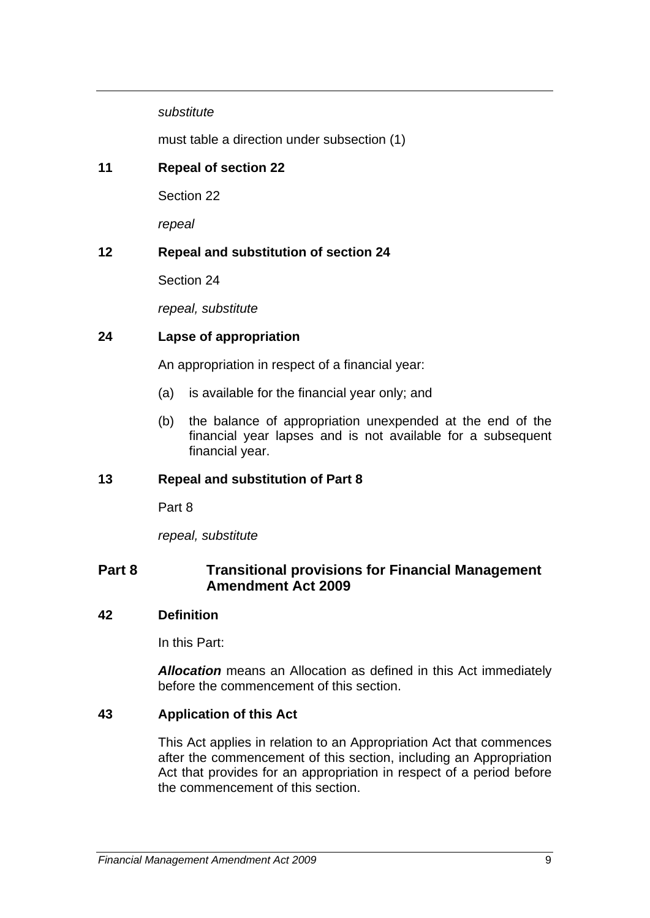*substitute* 

must table a direction under subsection (1)

## <span id="page-9-0"></span>**11 Repeal of section 22**

Section 22

*repeal* 

#### <span id="page-9-1"></span>**12 Repeal and substitution of section 24**

Section 24

*repeal, substitute* 

#### **24 Lapse of appropriation**

An appropriation in respect of a financial year:

- (a) is available for the financial year only; and
- (b) the balance of appropriation unexpended at the end of the financial year lapses and is not available for a subsequent financial year.

#### <span id="page-9-2"></span>**13 Repeal and substitution of Part 8**

Part 8

*repeal, substitute* 

## **Part 8 Transitional provisions for Financial Management Amendment Act 2009**

#### **42 Definition**

In this Part:

*Allocation* means an Allocation as defined in this Act immediately before the commencement of this section.

#### **43 Application of this Act**

This Act applies in relation to an Appropriation Act that commences after the commencement of this section, including an Appropriation Act that provides for an appropriation in respect of a period before the commencement of this section.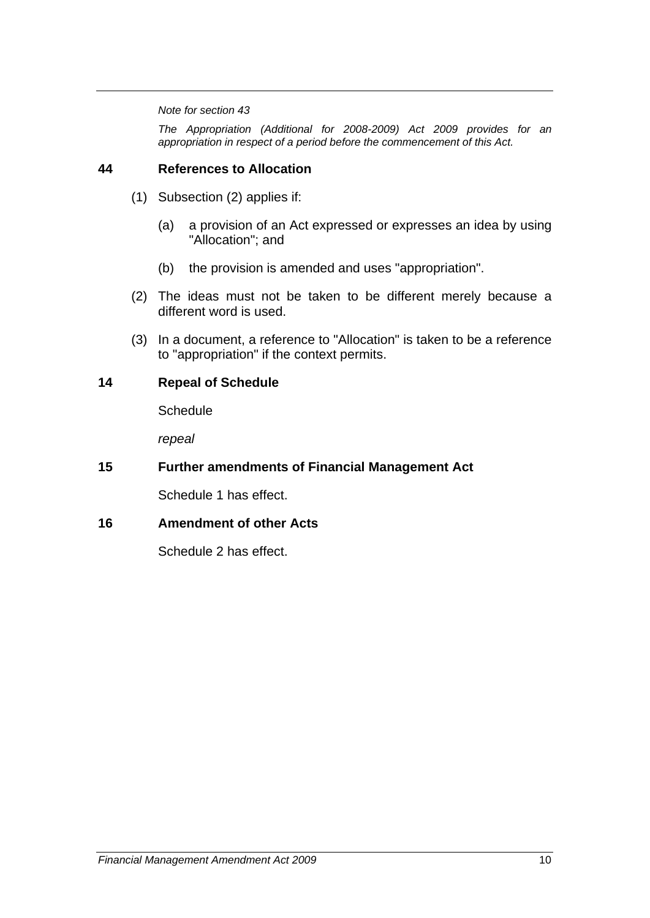#### *Note for section 43*

*The Appropriation (Additional for 2008-2009) Act 2009 provides for an appropriation in respect of a period before the commencement of this Act.* 

#### **44 References to Allocation**

- (1) Subsection (2) applies if:
	- (a) a provision of an Act expressed or expresses an idea by using "Allocation"; and
	- (b) the provision is amended and uses "appropriation".
- (2) The ideas must not be taken to be different merely because a different word is used.
- (3) In a document, a reference to "Allocation" is taken to be a reference to "appropriation" if the context permits.

#### <span id="page-10-0"></span>**14 Repeal of Schedule**

**Schedule** 

*repeal* 

#### <span id="page-10-1"></span>**15 Further amendments of Financial Management Act**

Schedule 1 has effect.

#### <span id="page-10-2"></span>**16 Amendment of other Acts**

Schedule 2 has effect.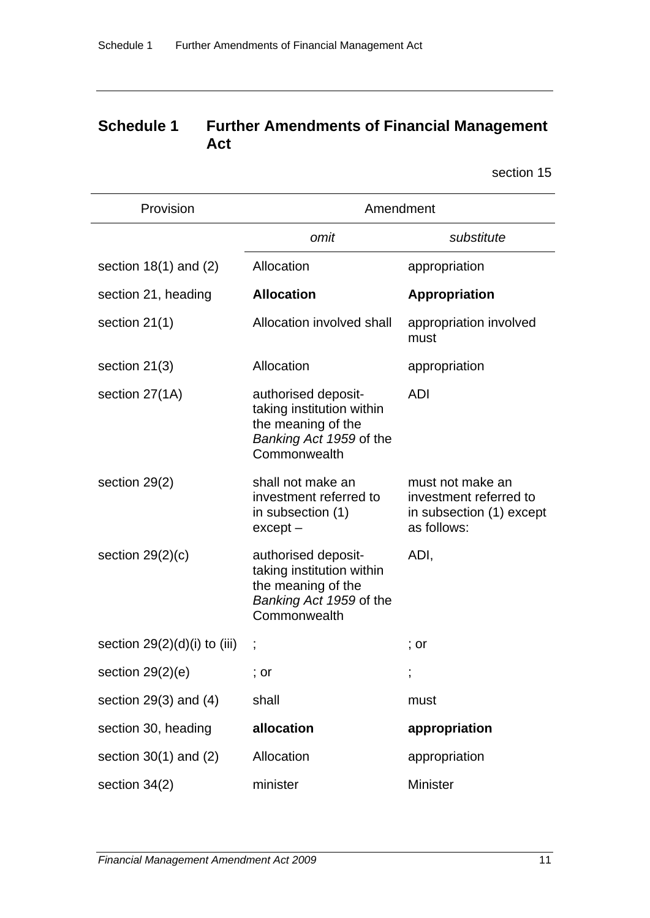# **Schedule 1 Further Amendments of Financial Management Act**

section 15

| Provision                      | Amendment                                                                                                         |                                                                                       |  |
|--------------------------------|-------------------------------------------------------------------------------------------------------------------|---------------------------------------------------------------------------------------|--|
|                                | omit                                                                                                              | substitute                                                                            |  |
| section $18(1)$ and $(2)$      | Allocation                                                                                                        | appropriation                                                                         |  |
| section 21, heading            | <b>Allocation</b>                                                                                                 | <b>Appropriation</b>                                                                  |  |
| section $21(1)$                | Allocation involved shall                                                                                         | appropriation involved<br>must                                                        |  |
| section $21(3)$                | Allocation                                                                                                        | appropriation                                                                         |  |
| section 27(1A)                 | authorised deposit-<br>taking institution within<br>the meaning of the<br>Banking Act 1959 of the<br>Commonwealth | <b>ADI</b>                                                                            |  |
| section 29(2)                  | shall not make an<br>investment referred to<br>in subsection (1)<br>$except -$                                    | must not make an<br>investment referred to<br>in subsection (1) except<br>as follows: |  |
| section $29(2)(c)$             | authorised deposit-<br>taking institution within<br>the meaning of the<br>Banking Act 1959 of the<br>Commonwealth | ADI,                                                                                  |  |
| section $29(2)(d)(i)$ to (iii) |                                                                                                                   | $:$ or                                                                                |  |
| section $29(2)(e)$             | ; or                                                                                                              | ,                                                                                     |  |
| section $29(3)$ and $(4)$      | shall                                                                                                             | must                                                                                  |  |
| section 30, heading            | allocation                                                                                                        | appropriation                                                                         |  |
| section $30(1)$ and $(2)$      | Allocation                                                                                                        | appropriation                                                                         |  |
| section 34(2)                  | minister                                                                                                          | Minister                                                                              |  |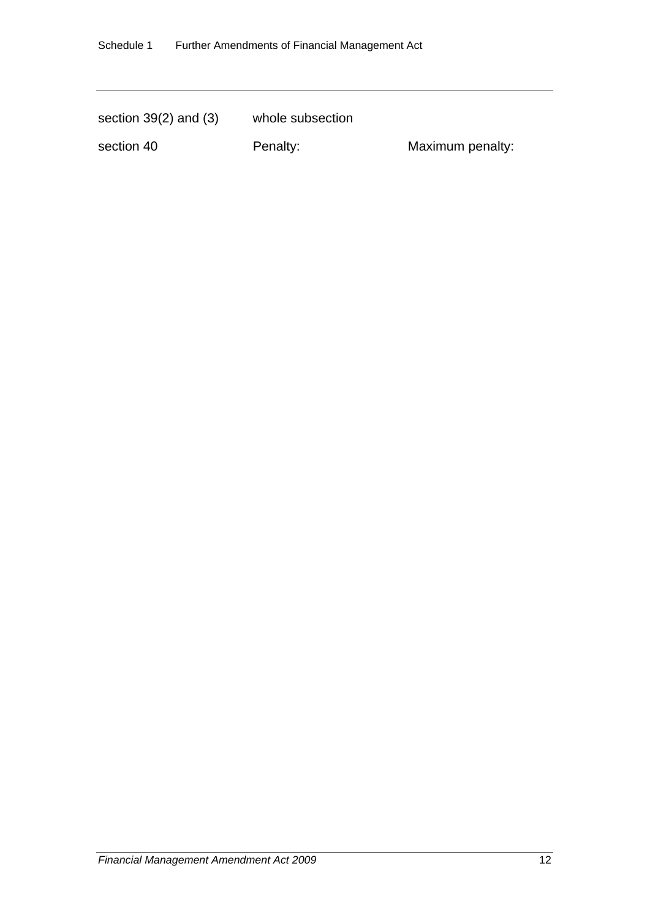| section $39(2)$ and $(3)$ | whole subsection |                  |
|---------------------------|------------------|------------------|
| section 40                | Penalty:         | Maximum penalty: |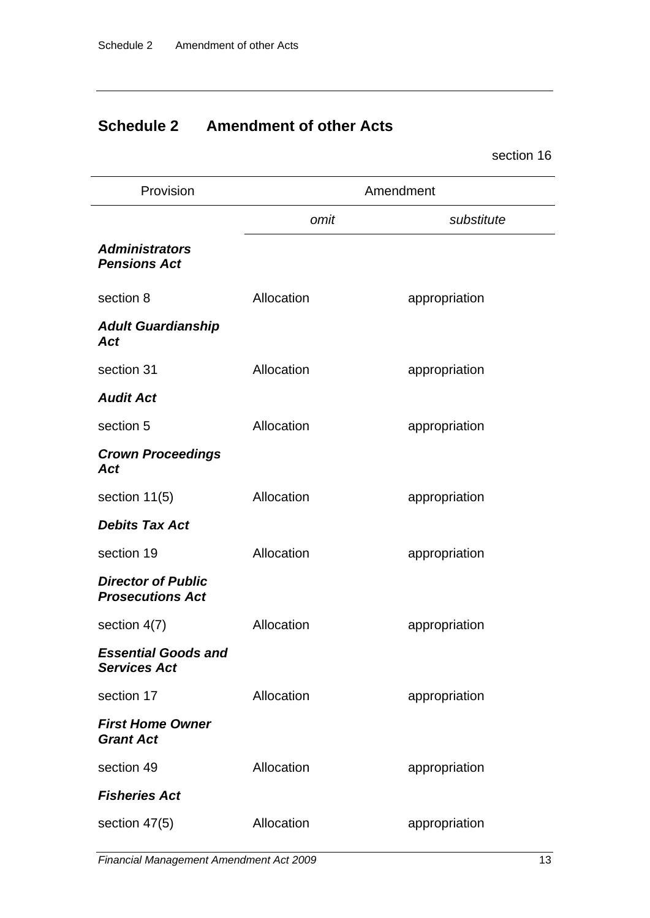# **Schedule 2 Amendment of other Acts**

section 16

| Provision                                            | Amendment  |               |
|------------------------------------------------------|------------|---------------|
|                                                      | omit       | substitute    |
| <b>Administrators</b><br><b>Pensions Act</b>         |            |               |
| section 8                                            | Allocation | appropriation |
| <b>Adult Guardianship</b><br>Act                     |            |               |
| section 31                                           | Allocation | appropriation |
| <b>Audit Act</b>                                     |            |               |
| section 5                                            | Allocation | appropriation |
| <b>Crown Proceedings</b><br>Act                      |            |               |
| section 11(5)                                        | Allocation | appropriation |
| <b>Debits Tax Act</b>                                |            |               |
| section 19                                           | Allocation | appropriation |
| <b>Director of Public</b><br><b>Prosecutions Act</b> |            |               |
| section 4(7)                                         | Allocation | appropriation |
| <b>Essential Goods and</b><br><b>Services Act</b>    |            |               |
| section 17                                           | Allocation | appropriation |
| <b>First Home Owner</b><br><b>Grant Act</b>          |            |               |
| section 49                                           | Allocation | appropriation |
| <b>Fisheries Act</b>                                 |            |               |
| section 47(5)                                        | Allocation | appropriation |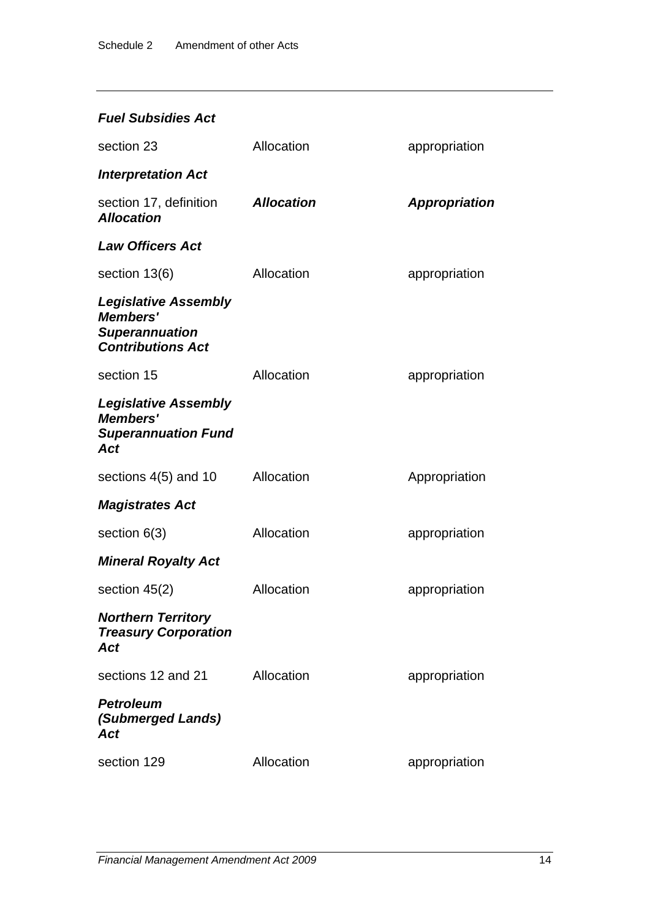# *Fuel Subsidies Act*

| section 23                                                                                          | Allocation        | appropriation        |
|-----------------------------------------------------------------------------------------------------|-------------------|----------------------|
| <b>Interpretation Act</b>                                                                           |                   |                      |
| section 17, definition<br><b>Allocation</b>                                                         | <b>Allocation</b> | <b>Appropriation</b> |
| <b>Law Officers Act</b>                                                                             |                   |                      |
| section 13(6)                                                                                       | Allocation        | appropriation        |
| <b>Legislative Assembly</b><br><b>Members'</b><br><b>Superannuation</b><br><b>Contributions Act</b> |                   |                      |
| section 15                                                                                          | Allocation        | appropriation        |
| <b>Legislative Assembly</b><br><b>Members'</b><br><b>Superannuation Fund</b><br><b>Act</b>          |                   |                      |
| sections 4(5) and 10                                                                                | Allocation        | Appropriation        |
| <b>Magistrates Act</b>                                                                              |                   |                      |
| section $6(3)$                                                                                      | Allocation        | appropriation        |
| <b>Mineral Royalty Act</b>                                                                          |                   |                      |
| section $45(2)$                                                                                     | Allocation        | appropriation        |
| <b>Northern Territory</b><br><b>Treasury Corporation</b><br>Act                                     |                   |                      |
| sections 12 and 21                                                                                  | Allocation        | appropriation        |
| <b>Petroleum</b><br>(Submerged Lands)<br>Act                                                        |                   |                      |
| section 129                                                                                         | Allocation        | appropriation        |